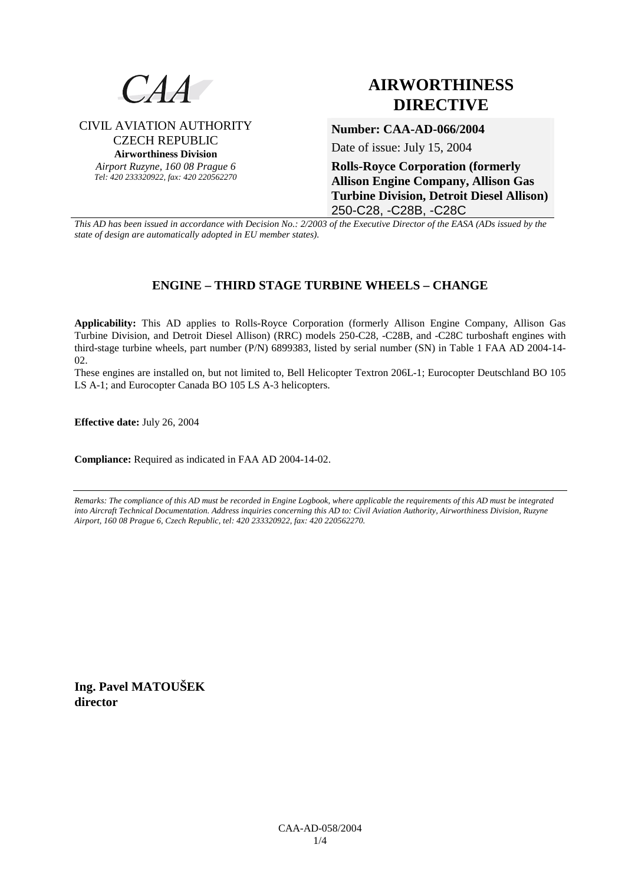

## CIVIL AVIATION AUTHORITY CZECH REPUBLIC **Airworthiness Division**

*Airport Ruzyne, 160 08 Prague 6 Tel: 420 233320922, fax: 420 220562270*

# **AIRWORTHINESS DIRECTIVE**

### **Number: CAA-AD-066/2004**

Date of issue: July 15, 2004

**Rolls-Royce Corporation (formerly Allison Engine Company, Allison Gas Turbine Division, Detroit Diesel Allison)** 250-C28, -C28B, -C28C

*This AD has been issued in accordance with Decision No.: 2/2003 of the Executive Director of the EASA (ADs issued by the state of design are automatically adopted in EU member states).*

# **ENGINE – THIRD STAGE TURBINE WHEELS – CHANGE**

**Applicability:** This AD applies to Rolls-Royce Corporation (formerly Allison Engine Company, Allison Gas Turbine Division, and Detroit Diesel Allison) (RRC) models 250-C28, -C28B, and -C28C turboshaft engines with third-stage turbine wheels, part number (P/N) 6899383, listed by serial number (SN) in Table 1 FAA AD 2004-14- 02.

These engines are installed on, but not limited to, Bell Helicopter Textron 206L-1; Eurocopter Deutschland BO 105 LS A-1; and Eurocopter Canada BO 105 LS A-3 helicopters.

**Effective date:** July 26, 2004

**Compliance:** Required as indicated in FAA AD 2004-14-02.

*Remarks: The compliance of this AD must be recorded in Engine Logbook, where applicable the requirements of this AD must be integrated into Aircraft Technical Documentation. Address inquiries concerning this AD to: Civil Aviation Authority, Airworthiness Division, Ruzyne Airport, 160 08 Prague 6, Czech Republic, tel: 420 233320922, fax: 420 220562270.* 

**Ing. Pavel MATOUŠEK director**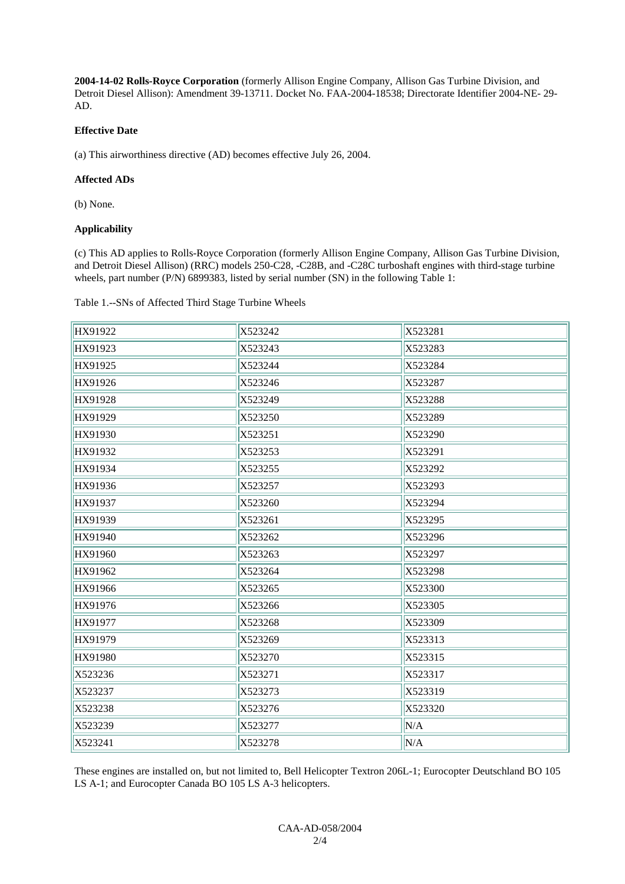**2004-14-02 Rolls-Royce Corporation** (formerly Allison Engine Company, Allison Gas Turbine Division, and Detroit Diesel Allison): Amendment 39-13711. Docket No. FAA-2004-18538; Directorate Identifier 2004-NE- 29- AD.

#### **Effective Date**

(a) This airworthiness directive (AD) becomes effective July 26, 2004.

#### **Affected ADs**

(b) None.

#### **Applicability**

(c) This AD applies to Rolls-Royce Corporation (formerly Allison Engine Company, Allison Gas Turbine Division, and Detroit Diesel Allison) (RRC) models 250-C28, -C28B, and -C28C turboshaft engines with third-stage turbine wheels, part number (P/N) 6899383, listed by serial number (SN) in the following Table 1:

Table 1.--SNs of Affected Third Stage Turbine Wheels

| HX91922 | X523242 | X523281 |
|---------|---------|---------|
| HX91923 | X523243 | X523283 |
| HX91925 | X523244 | X523284 |
| HX91926 | X523246 | X523287 |
| HX91928 | X523249 | X523288 |
| HX91929 | X523250 | X523289 |
| HX91930 | X523251 | X523290 |
| HX91932 | X523253 | X523291 |
| HX91934 | X523255 | X523292 |
| HX91936 | X523257 | X523293 |
| HX91937 | X523260 | X523294 |
| HX91939 | X523261 | X523295 |
| HX91940 | X523262 | X523296 |
| HX91960 | X523263 | X523297 |
| HX91962 | X523264 | X523298 |
| HX91966 | X523265 | X523300 |
| HX91976 | X523266 | X523305 |
| HX91977 | X523268 | X523309 |
| HX91979 | X523269 | X523313 |
| HX91980 | X523270 | X523315 |
| X523236 | X523271 | X523317 |
| X523237 | X523273 | X523319 |
| X523238 | X523276 | X523320 |
| X523239 | X523277 | N/A     |
| X523241 | X523278 | N/A     |

These engines are installed on, but not limited to, Bell Helicopter Textron 206L-1; Eurocopter Deutschland BO 105 LS A-1; and Eurocopter Canada BO 105 LS A-3 helicopters.